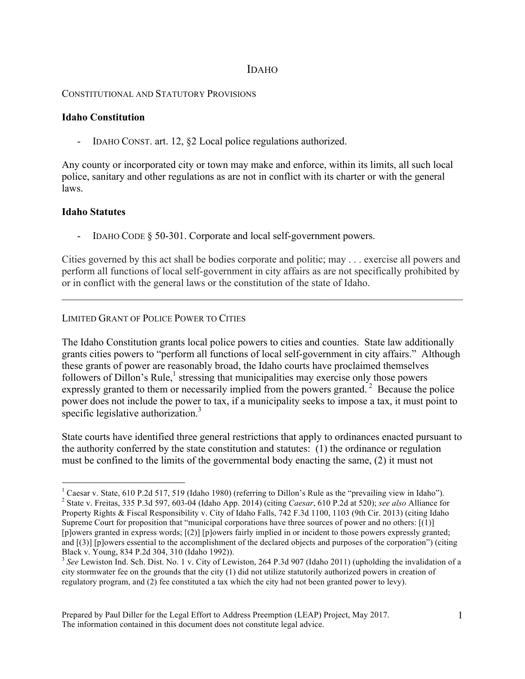# IDAHO

### CONSTITUTIONAL AND STATUTORY PROVISIONS

### **Idaho Constitution**

- IDAHO CONST. art. 12, §2 Local police regulations authorized.

Any county or incorporated city or town may make and enforce, within its limits, all such local police, sanitary and other regulations as are not in conflict with its charter or with the general laws.

### **Idaho Statutes**

- IDAHO CODE § 50-301. Corporate and local self-government powers.

Cities governed by this act shall be bodies corporate and politic; may . . . exercise all powers and perform all functions of local self-government in city affairs as are not specifically prohibited by or in conflict with the general laws or the constitution of the state of Idaho.

 $\mathcal{L}_\mathcal{L} = \{ \mathcal{L}_\mathcal{L} = \{ \mathcal{L}_\mathcal{L} = \{ \mathcal{L}_\mathcal{L} = \{ \mathcal{L}_\mathcal{L} = \{ \mathcal{L}_\mathcal{L} = \{ \mathcal{L}_\mathcal{L} = \{ \mathcal{L}_\mathcal{L} = \{ \mathcal{L}_\mathcal{L} = \{ \mathcal{L}_\mathcal{L} = \{ \mathcal{L}_\mathcal{L} = \{ \mathcal{L}_\mathcal{L} = \{ \mathcal{L}_\mathcal{L} = \{ \mathcal{L}_\mathcal{L} = \{ \mathcal{L}_\mathcal{$ 

## LIMITED GRANT OF POLICE POWER TO CITIES

The Idaho Constitution grants local police powers to cities and counties. State law additionally grants cities powers to "perform all functions of local self-government in city affairs." Although these grants of power are reasonably broad, the Idaho courts have proclaimed themselves followers of Dillon's Rule, $\frac{1}{1}$  stressing that municipalities may exercise only those powers expressly granted to them or necessarily implied from the powers granted.<sup>2</sup> Because the police power does not include the power to tax, if a municipality seeks to impose a tax, it must point to specific legislative authorization. $3$ 

State courts have identified three general restrictions that apply to ordinances enacted pursuant to the authority conferred by the state constitution and statutes: (1) the ordinance or regulation must be confined to the limits of the governmental body enacting the same, (2) it must not

 $\frac{1}{1}$ <sup>1</sup> Caesar v. State, 610 P.2d 517, 519 (Idaho 1980) (referring to Dillon's Rule as the "prevailing view in Idaho"). <sup>2</sup> State v. Freitas, 335 P.3d 597, 603-04 (Idaho App. 2014) (citing *Caesar*, 610 P.2d at 520); *see also* Alliance for Property Rights & Fiscal Responsibility v. City of Idaho Falls, 742 F.3d 1100, 1103 (9th Cir. 2013) (citing Idaho Supreme Court for proposition that "municipal corporations have three sources of power and no others: [(1)] [p]owers granted in express words; [(2)] [p]owers fairly implied in or incident to those powers expressly granted; and [(3)] [p]owers essential to the accomplishment of the declared objects and purposes of the corporation") (citing Black v. Young, 834 P.2d 304, 310 (Idaho 1992)).

<sup>&</sup>lt;sup>3</sup> See Lewiston Ind. Sch. Dist. No. 1 v. City of Lewiston, 264 P.3d 907 (Idaho 2011) (upholding the invalidation of a city stormwater fee on the grounds that the city (1) did not utilize statutorily authorized powers in creation of regulatory program, and (2) fee constituted a tax which the city had not been granted power to levy).